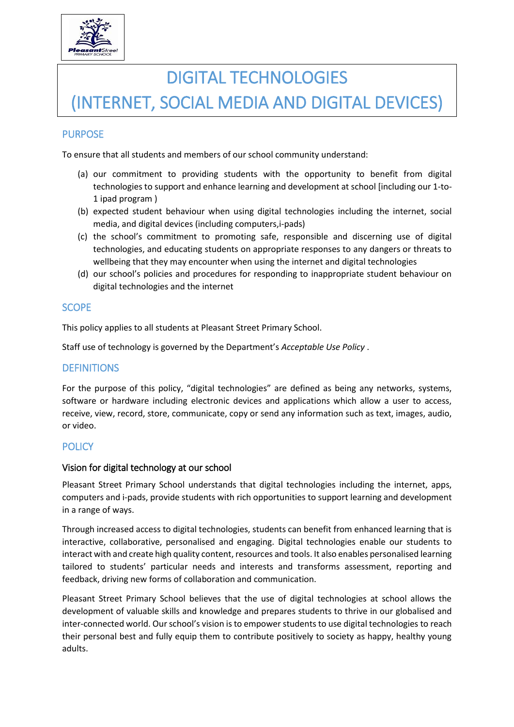

# DIGITAL TECHNOLOGIES (INTERNET, SOCIAL MEDIA AND DIGITAL DEVICES)

# PURPOSE

To ensure that all students and members of our school community understand:

- (a) our commitment to providing students with the opportunity to benefit from digital technologies to support and enhance learning and development at school [including our 1-to-1 ipad program )
- (b) expected student behaviour when using digital technologies including the internet, social media, and digital devices (including computers,i-pads)
- (c) the school's commitment to promoting safe, responsible and discerning use of digital technologies, and educating students on appropriate responses to any dangers or threats to wellbeing that they may encounter when using the internet and digital technologies
- (d) our school's policies and procedures for responding to inappropriate student behaviour on digital technologies and the internet

## **SCOPE**

This policy applies to all students at Pleasant Street Primary School.

Staff use of technology is governed by the Department's *Acceptable Use Policy* .

## **DEFINITIONS**

For the purpose of this policy, "digital technologies" are defined as being any networks, systems, software or hardware including electronic devices and applications which allow a user to access, receive, view, record, store, communicate, copy or send any information such as text, images, audio, or video.

## **POLICY**

#### Vision for digital technology at our school

Pleasant Street Primary School understands that digital technologies including the internet, apps, computers and i-pads, provide students with rich opportunities to support learning and development in a range of ways.

Through increased access to digital technologies, students can benefit from enhanced learning that is interactive, collaborative, personalised and engaging. Digital technologies enable our students to interact with and create high quality content, resources and tools. It also enables personalised learning tailored to students' particular needs and interests and transforms assessment, reporting and feedback, driving new forms of collaboration and communication.

Pleasant Street Primary School believes that the use of digital technologies at school allows the development of valuable skills and knowledge and prepares students to thrive in our globalised and inter-connected world. Our school's vision is to empower students to use digital technologies to reach their personal best and fully equip them to contribute positively to society as happy, healthy young adults.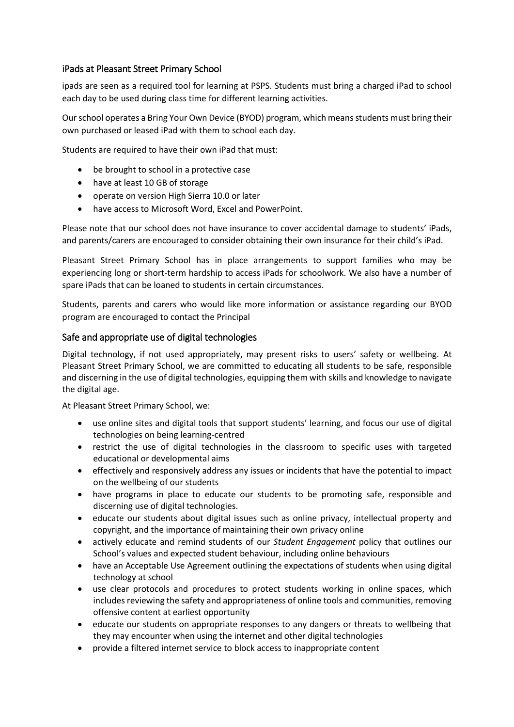## iPads at Pleasant Street Primary School

ipads are seen as a required tool for learning at PSPS. Students must bring a charged iPad to school each day to be used during class time for different learning activities.

Our school operates a Bring Your Own Device (BYOD) program, which means students must bring their own purchased or leased iPad with them to school each day.

Students are required to have their own iPad that must:

- be brought to school in a protective case
- have at least 10 GB of storage
- operate on version High Sierra 10.0 or later
- have access to Microsoft Word, Excel and PowerPoint.

Please note that our school does not have insurance to cover accidental damage to students' iPads, and parents/carers are encouraged to consider obtaining their own insurance for their child's iPad.

Pleasant Street Primary School has in place arrangements to support families who may be experiencing long or short-term hardship to access iPads for schoolwork. We also have a number of spare iPads that can be loaned to students in certain circumstances.

Students, parents and carers who would like more information or assistance regarding our BYOD program are encouraged to contact the Principal

#### Safe and appropriate use of digital technologies

Digital technology, if not used appropriately, may present risks to users' safety or wellbeing. At Pleasant Street Primary School, we are committed to educating all students to be safe, responsible and discerning in the use of digital technologies, equipping them with skills and knowledge to navigate the digital age.

At Pleasant Street Primary School, we:

- use online sites and digital tools that support students' learning, and focus our use of digital technologies on being learning-centred
- restrict the use of digital technologies in the classroom to specific uses with targeted educational or developmental aims
- effectively and responsively address any issues or incidents that have the potential to impact on the wellbeing of our students
- have programs in place to educate our students to be promoting safe, responsible and discerning use of digital technologies.
- educate our students about digital issues such as online privacy, intellectual property and copyright, and the importance of maintaining their own privacy online
- actively educate and remind students of our *Student Engagement* policy that outlines our School's values and expected student behaviour, including online behaviours
- have an Acceptable Use Agreement outlining the expectations of students when using digital technology at school
- use clear protocols and procedures to protect students working in online spaces, which includes reviewing the safety and appropriateness of online tools and communities, removing offensive content at earliest opportunity
- educate our students on appropriate responses to any dangers or threats to wellbeing that they may encounter when using the internet and other digital technologies
- provide a filtered internet service to block access to inappropriate content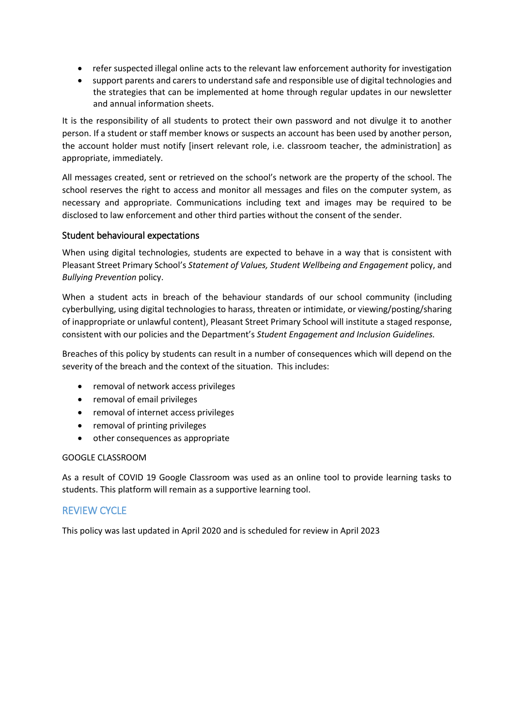- refer suspected illegal online acts to the relevant law enforcement authority for investigation
- support parents and carers to understand safe and responsible use of digital technologies and the strategies that can be implemented at home through regular updates in our newsletter and annual information sheets.

It is the responsibility of all students to protect their own password and not divulge it to another person. If a student or staff member knows or suspects an account has been used by another person, the account holder must notify [insert relevant role, i.e. classroom teacher, the administration] as appropriate, immediately.

All messages created, sent or retrieved on the school's network are the property of the school. The school reserves the right to access and monitor all messages and files on the computer system, as necessary and appropriate. Communications including text and images may be required to be disclosed to law enforcement and other third parties without the consent of the sender.

#### Student behavioural expectations

When using digital technologies, students are expected to behave in a way that is consistent with Pleasant Street Primary School's *Statement of Values, Student Wellbeing and Engagement* policy, and *Bullying Prevention* policy.

When a student acts in breach of the behaviour standards of our school community (including cyberbullying, using digital technologies to harass, threaten or intimidate, or viewing/posting/sharing of inappropriate or unlawful content), Pleasant Street Primary School will institute a staged response, consistent with our policies and the Department's *Student Engagement and Inclusion Guidelines.*

Breaches of this policy by students can result in a number of consequences which will depend on the severity of the breach and the context of the situation. This includes:

- removal of network access privileges
- removal of email privileges
- removal of internet access privileges
- removal of printing privileges
- other consequences as appropriate

#### GOOGLE CLASSROOM

As a result of COVID 19 Google Classroom was used as an online tool to provide learning tasks to students. This platform will remain as a supportive learning tool.

## REVIEW CYCLE

This policy was last updated in April 2020 and is scheduled for review in April 2023